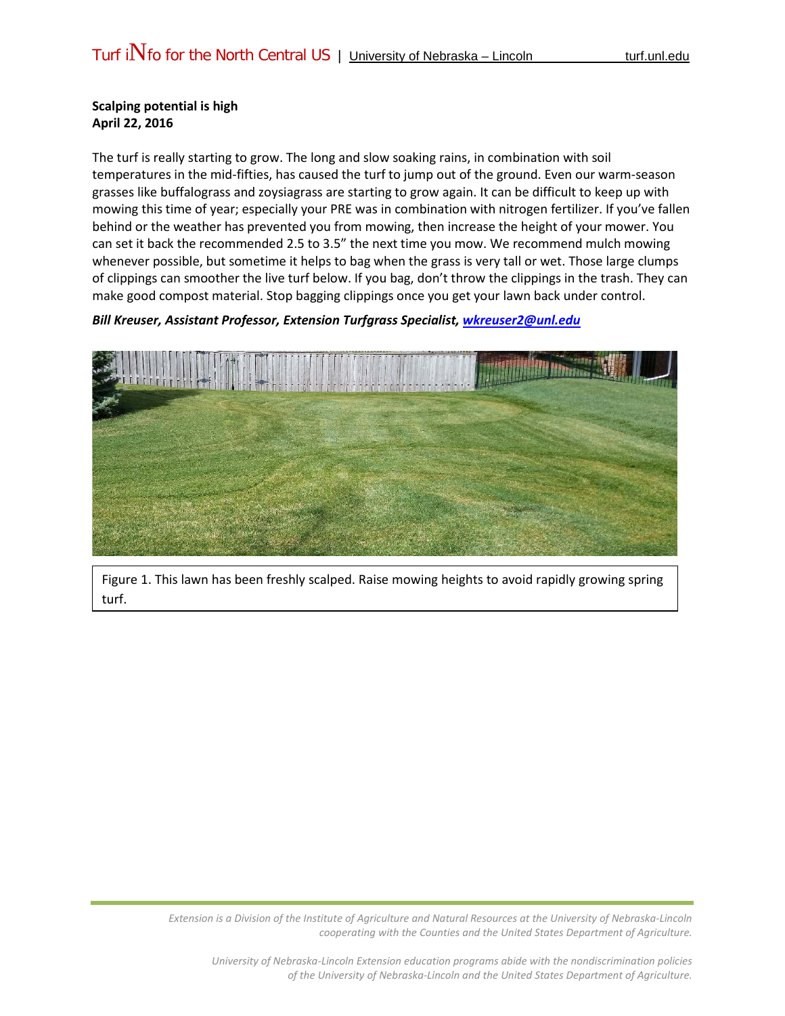## **Scalping potential is high April 22, 2016**

The turf is really starting to grow. The long and slow soaking rains, in combination with soil temperatures in the mid-fifties, has caused the turf to jump out of the ground. Even our warm-season grasses like buffalograss and zoysiagrass are starting to grow again. It can be difficult to keep up with mowing this time of year; especially your PRE was in combination with nitrogen fertilizer. If you've fallen behind or the weather has prevented you from mowing, then increase the height of your mower. You can set it back the recommended 2.5 to 3.5" the next time you mow. We recommend mulch mowing whenever possible, but sometime it helps to bag when the grass is very tall or wet. Those large clumps of clippings can smoother the live turf below. If you bag, don't throw the clippings in the trash. They can make good compost material. Stop bagging clippings once you get your lawn back under control.

## *Bill Kreuser, Assistant Professor, Extension Turfgrass Specialist, [wkreuser2@unl.edu](mailto:wkreuser2@unl.edu)*



Figure 1. This lawn has been freshly scalped. Raise mowing heights to avoid rapidly growing spring turf.

> *Extension is a Division of the Institute of Agriculture and Natural Resources at the University of Nebraska-Lincoln cooperating with the Counties and the United States Department of Agriculture.*

*University of Nebraska-Lincoln Extension education programs abide with the nondiscrimination policies of the University of Nebraska-Lincoln and the United States Department of Agriculture.*